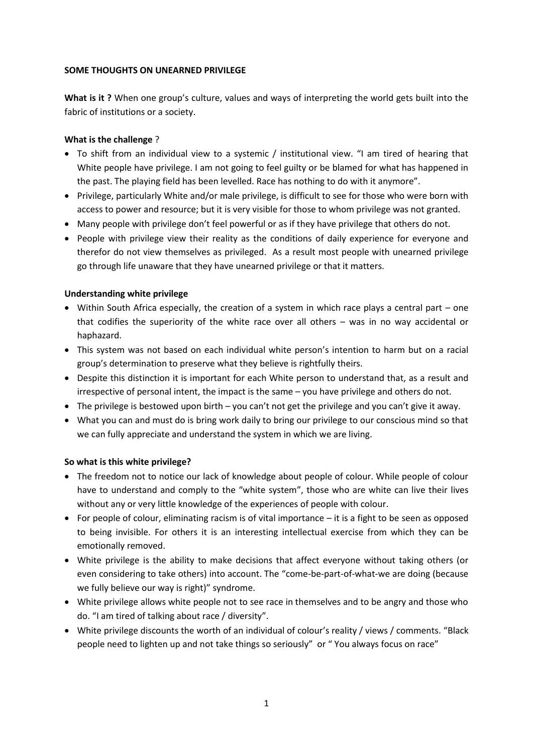### **SOME THOUGHTS ON UNEARNED PRIVILEGE**

**What is it ?** When one group's culture, values and ways of interpreting the world gets built into the fabric of institutions or a society.

### **What is the challenge** ?

- To shift from an individual view to a systemic / institutional view. "I am tired of hearing that White people have privilege. I am not going to feel guilty or be blamed for what has happened in the past. The playing field has been levelled. Race has nothing to do with it anymore".
- Privilege, particularly White and/or male privilege, is difficult to see for those who were born with access to power and resource; but it is very visible for those to whom privilege was not granted.
- Many people with privilege don't feel powerful or as if they have privilege that others do not.
- People with privilege view their reality as the conditions of daily experience for everyone and therefor do not view themselves as privileged. As a result most people with unearned privilege go through life unaware that they have unearned privilege or that it matters.

## **Understanding white privilege**

- Within South Africa especially, the creation of a system in which race plays a central part one that codifies the superiority of the white race over all others – was in no way accidental or haphazard.
- This system was not based on each individual white person's intention to harm but on a racial group's determination to preserve what they believe is rightfully theirs.
- Despite this distinction it is important for each White person to understand that, as a result and irrespective of personal intent, the impact is the same – you have privilege and others do not.
- The privilege is bestowed upon birth you can't not get the privilege and you can't give it away.
- What you can and must do is bring work daily to bring our privilege to our conscious mind so that we can fully appreciate and understand the system in which we are living.

### **So what is this white privilege?**

- The freedom not to notice our lack of knowledge about people of colour. While people of colour have to understand and comply to the "white system", those who are white can live their lives without any or very little knowledge of the experiences of people with colour.
- For people of colour, eliminating racism is of vital importance it is a fight to be seen as opposed to being invisible. For others it is an interesting intellectual exercise from which they can be emotionally removed.
- White privilege is the ability to make decisions that affect everyone without taking others (or even considering to take others) into account. The "come-be-part-of-what-we are doing (because we fully believe our way is right)" syndrome.
- White privilege allows white people not to see race in themselves and to be angry and those who do. "I am tired of talking about race / diversity".
- White privilege discounts the worth of an individual of colour's reality / views / comments. "Black people need to lighten up and not take things so seriously" or " You always focus on race"